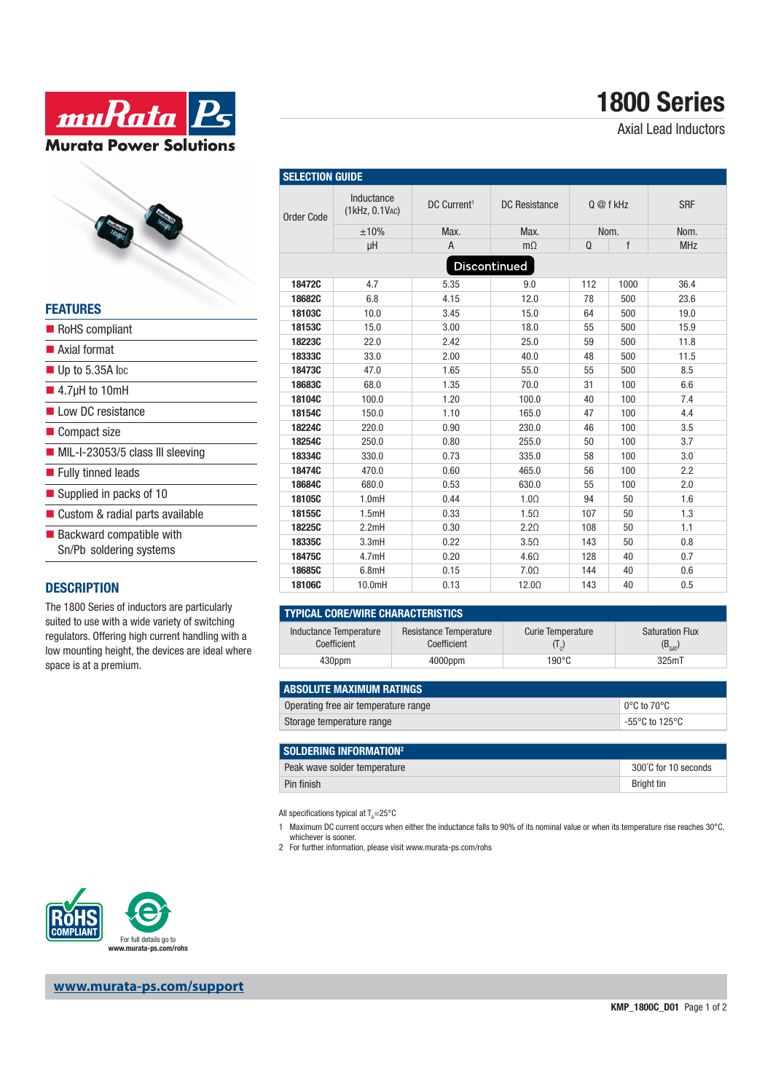

# **1800 Series**

Axial Lead Inductors



|  |  | $\blacksquare$ Up to 5.35A lpc |  |
|--|--|--------------------------------|--|

- $\blacksquare$  4.7μH to 10mH
- Low DC resistance
- Compact size
- MIL-I-23053/5 class III sleeving
- **Fully tinned leads**
- Supplied in packs of 10
- Custom & radial parts available
- $\blacksquare$  Backward compatible with Sn/Pb soldering systems

#### **DESCRIPTION**

The 1800 Series of inductors are particularly suited to use with a wide variety of switching regulators. Offering high current handling with a low mounting height, the devices are ideal where space is at a premium.

| Order Code   | Inductance<br>(1kHz, 0.1VAC) | DC Current <sup>1</sup> | DC Resistance<br>Q @ f kHz                                     |     |      | <b>SRF</b> |
|--------------|------------------------------|-------------------------|----------------------------------------------------------------|-----|------|------------|
|              | ±10%                         | Max.                    | Max.                                                           |     | Nom. | Nom.       |
|              | μH                           | $\overline{A}$          | $m\Omega$                                                      | Q   | f    | <b>MHz</b> |
| Discontinued |                              |                         |                                                                |     |      |            |
| 18472C       | 4.7                          | 5.35                    | 9.0                                                            | 112 | 1000 | 36.4       |
| 18682C       | 6.8                          | 4.15                    | 12.0                                                           | 78  | 500  | 23.6       |
| 18103C       | 10.0                         | 3.45                    | 15.0                                                           | 64  | 500  | 19.0       |
| 18153C       | 15.0                         | 3.00                    | 18.0                                                           | 55  | 500  | 15.9       |
| 18223C       | 22.0                         | 2.42                    | 25.0                                                           | 59  | 500  | 11.8       |
| 18333C       | 33.0                         | 2.00                    | 40.0                                                           | 48  | 500  | 11.5       |
| 18473C       | 47.0                         | 1.65                    | 55.0                                                           | 55  | 500  | 8.5        |
| 18683C       | 68.0                         | 1.35                    | 70.0                                                           | 31  | 100  | 6.6        |
| 18104C       | 100.0                        | 1.20                    | 100.0                                                          | 40  | 100  | 7.4        |
| 18154C       | 150.0                        | 1.10                    | 165.0                                                          | 47  | 100  | 4.4        |
| 18224C       | 220.0                        | 0.90                    | 230.0                                                          | 46  | 100  | 3.5        |
| 18254C       | 250.0                        | 0.80                    | 255.0                                                          | 50  | 100  | 3.7        |
| 18334C       | 330.0                        | 0.73                    | 335.0                                                          | 58  | 100  | 3.0        |
| 18474C       | 470.0                        | 0.60                    | 465.0                                                          | 56  | 100  | 2.2        |
| 18684C       | 680.0                        | 0.53                    | 630.0                                                          | 55  | 100  | 2.0        |
| 18105C       | 1.0mH                        | 0.44                    | 1.0 <omega< td=""><td>94</td><td>50</td><td>1.6</td></omega<>  | 94  | 50   | 1.6        |
| 18155C       | 1.5mH                        | 0.33                    | $1.5\Omega$                                                    | 107 | 50   | 1.3        |
| 18225C       | 2.2mH                        | 0.30                    | 2.2 <sub>Ω</sub>                                               | 108 | 50   | 1.1        |
| 18335C       | 3.3mH                        | 0.22                    | 3.5 <sub>Ω</sub>                                               | 143 | 50   | 0.8        |
| 18475C       | 4.7mH                        | 0.20                    | $4.6\Omega$                                                    | 128 | 40   | 0.7        |
| 18685C       | 6.8mH                        | 0.15                    | 7.0 <omega< td=""><td>144</td><td>40</td><td>0.6</td></omega<> | 144 | 40   | 0.6        |
| 18106C       | 10.0mH                       | 0.13                    | $12.0\Omega$                                                   | 143 | 40   | 0.5        |

#### **TYPICAL CORE/WIRE CHARACTERISTICS**

**SELECTION GUIDE** 

| Inductance Temperature<br>Coefficient | Resistance Temperature<br>Coefficient | <b>Curie Temperature</b> | <b>Saturation Flux</b><br>$(B_{SAT})$ |  |  |
|---------------------------------------|---------------------------------------|--------------------------|---------------------------------------|--|--|
| 430ppm                                | 4000ppm                               | 190°C                    | 325mT                                 |  |  |

| <b>ABSOLUTE MAXIMUM RATINGS</b>      |                         |
|--------------------------------------|-------------------------|
| Operating free air temperature range | $\circ$ 0°C to 70°C     |
| Storage temperature range            | $^\circ$ -55°C to 125°C |

| SOLDERING INFORMATION <sup>2</sup> |                      |  |  |
|------------------------------------|----------------------|--|--|
| Peak wave solder temperature       | 300°C for 10 seconds |  |  |
| Pin finish                         | Bright tin           |  |  |

All specifications typical at  $T_A = 25^{\circ}$ C

- 1 Maximum DC current occurs when either the inductance falls to 90% of its nominal value or when its temperature rise reaches 30°C, whichever is sooner.
- 2 For further information, please visit www.murata-ps.com/rohs



**www.murata-ps.com/support**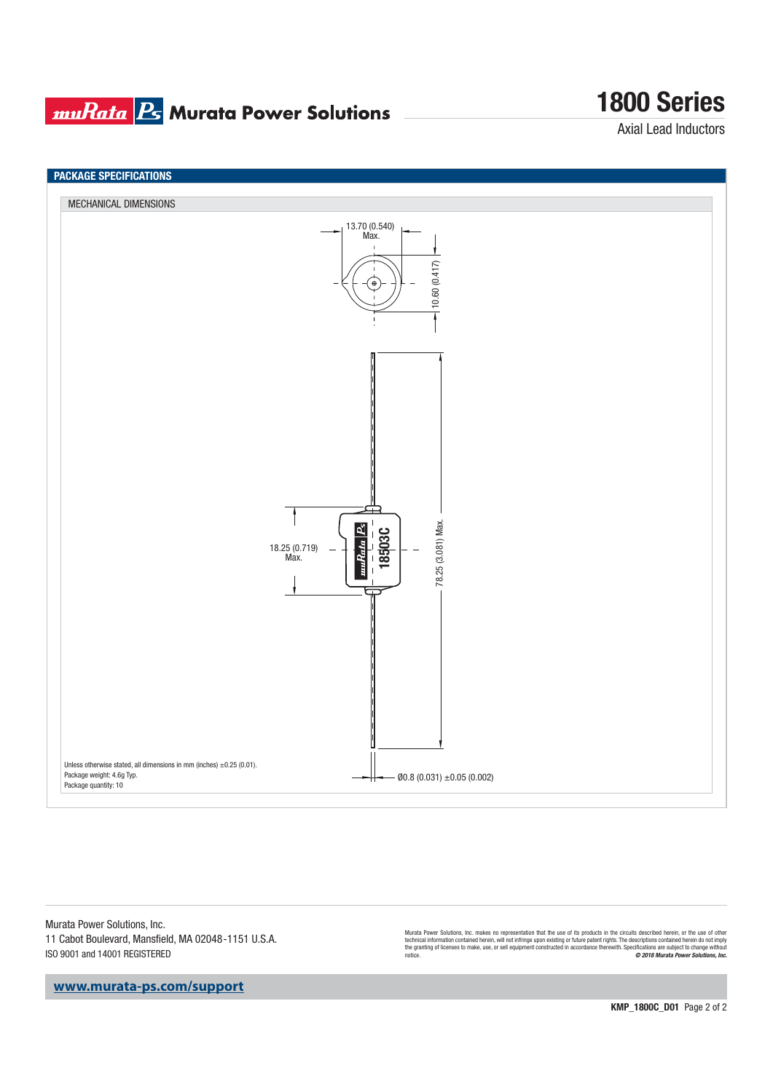### **muRata Ps** Murata Power Solutions

## **1800 Series**

Axial Lead Inductors



Murata Power Solutions, Inc. 11 Cabot Boulevard, Mansfield, MA 02048-1151 U.S.A. ISO 9001 and 14001 REGISTERED

Murata Power Solutions, Inc. makes no representation that the use of its products in the circuits described herein, or the use of other<br>technical information contained herein, will not infringe upon existing or future pate

**www.murata-ps.com/support**

**KMP\_1800C\_D01** Page 2 of 2